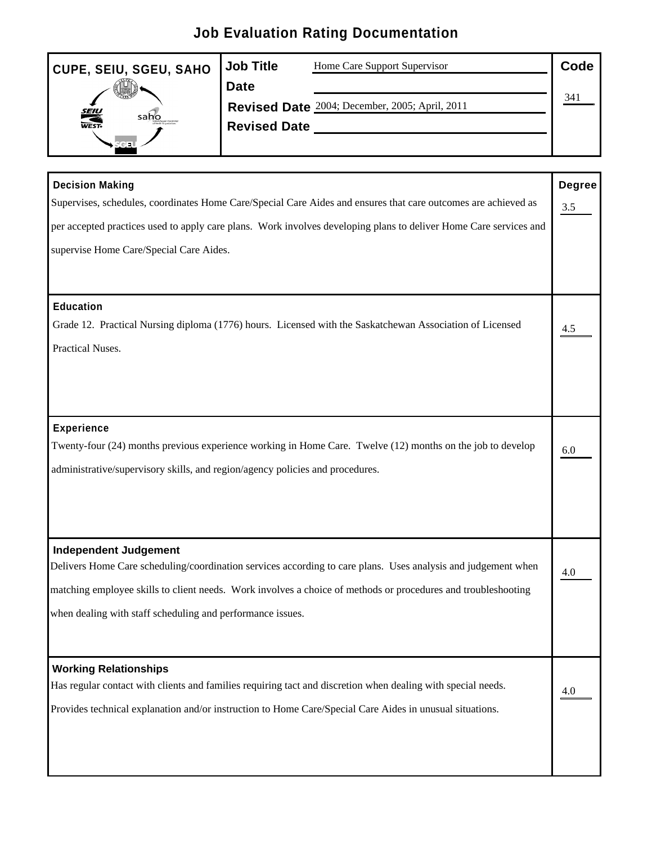## **Job Evaluation Rating Documentation**

| CUPE, SEIU, SGEU, SAHO Job Title | Home Care Support Supervisor                   | Code   |  |
|----------------------------------|------------------------------------------------|--------|--|
| <b>CARL WARRANT</b>              | Date                                           |        |  |
|                                  | Revised Date 2004; December, 2005; April, 2011 | ______ |  |
| sabio<br>WEST.                   | <b>Revised Date</b>                            |        |  |
|                                  |                                                |        |  |

| <b>Decision Making</b>                                                                                            | Degree            |
|-------------------------------------------------------------------------------------------------------------------|-------------------|
| Supervises, schedules, coordinates Home Care/Special Care Aides and ensures that care outcomes are achieved as    | 3.5               |
| per accepted practices used to apply care plans. Work involves developing plans to deliver Home Care services and |                   |
| supervise Home Care/Special Care Aides.                                                                           |                   |
|                                                                                                                   |                   |
| Education                                                                                                         |                   |
| Grade 12. Practical Nursing diploma (1776) hours. Licensed with the Saskatchewan Association of Licensed          |                   |
|                                                                                                                   |                   |
| Practical Nuses.                                                                                                  |                   |
|                                                                                                                   |                   |
|                                                                                                                   |                   |
| <b>Experience</b>                                                                                                 |                   |
| Twenty-four (24) months previous experience working in Home Care. Twelve (12) months on the job to develop        | 6.0               |
| administrative/supervisory skills, and region/agency policies and procedures.                                     |                   |
|                                                                                                                   |                   |
|                                                                                                                   |                   |
|                                                                                                                   |                   |
| <b>Independent Judgement</b>                                                                                      |                   |
| Delivers Home Care scheduling/coordination services according to care plans. Uses analysis and judgement when     | 4.0               |
| matching employee skills to client needs. Work involves a choice of methods or procedures and troubleshooting     |                   |
| when dealing with staff scheduling and performance issues.                                                        |                   |
|                                                                                                                   |                   |
|                                                                                                                   |                   |
| <b>Working Relationships</b>                                                                                      |                   |
| Has regular contact with clients and families requiring tact and discretion when dealing with special needs.      | $\underline{4.0}$ |
| Provides technical explanation and/or instruction to Home Care/Special Care Aides in unusual situations.          |                   |
|                                                                                                                   |                   |
|                                                                                                                   |                   |
|                                                                                                                   |                   |